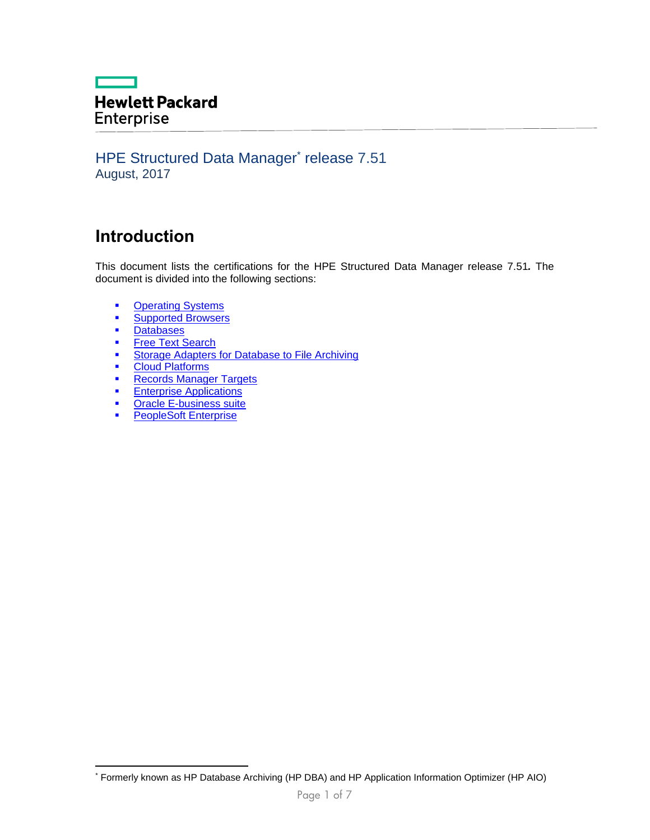## **The Company Hewlett Packard** Enterprise

### HPE Structured Data Manager\* release 7.51 August, 2017

# **Introduction**

This document lists the certifications for the HPE Structured Data Manager release 7.51*.* The document is divided into the following sections:

- **•** [Operating Systems](#page-0-0)
- **[Supported Browsers](#page-1-0)**<br> **Databases**
- **[Databases](#page-2-0)**

-

- [Free Text Search](#page-3-0)
- **EXECUTE:** Storage Adapters for Database to File Archiving
- **•** [Cloud Platforms](#page-3-2)
- **[Records Manager](#page-3-3) Targets**
- **[Enterprise Applications](#page-3-4)**
- **[Oracle E-business suite](#page-4-0)**
- <span id="page-0-0"></span>**[PeopleSoft Enterprise](#page-5-0)**

<sup>\*</sup> Formerly known as HP Database Archiving (HP DBA) and HP Application Information Optimizer (HP AIO)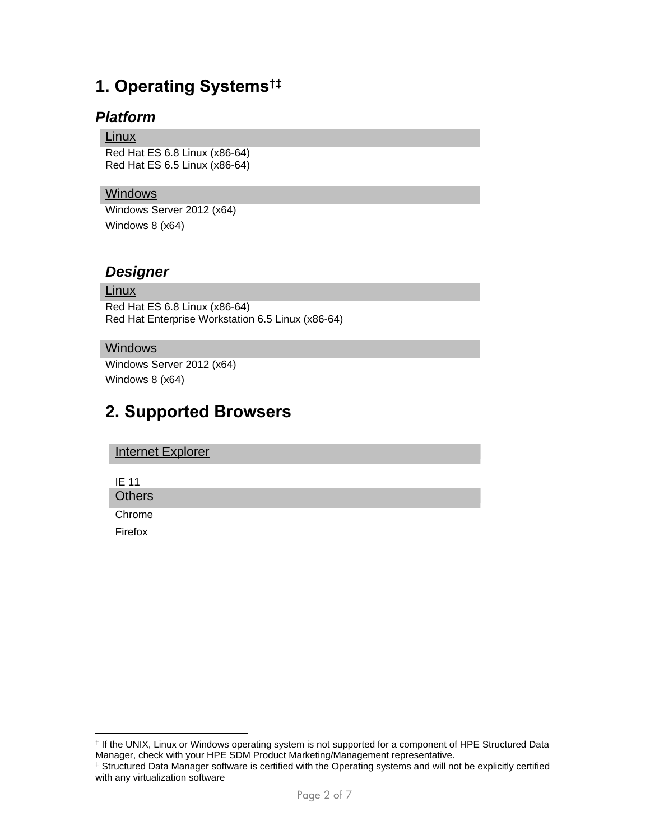# **1. Operating Systems†‡**

### *Platform*

#### Linux

Red Hat ES 6.8 Linux (x86-64) Red Hat ES 6.5 Linux (x86-64)

### Windows

Windows Server 2012 (x64) Windows 8 (x64)

### *Designer*

#### **Linux**

Red Hat ES 6.8 Linux (x86-64) Red Hat Enterprise Workstation 6.5 Linux (x86-64)

#### Windows

Windows Server 2012 (x64) Windows 8 (x64)

## <span id="page-1-0"></span>**2. Supported Browsers**

| <b>Internet Explorer</b> |
|--------------------------|
|--------------------------|

IE 11

**Others** 

Chrome

Firefox

-

<sup>†</sup> If the UNIX, Linux or Windows operating system is not supported for a component of HPE Structured Data Manager, check with your HPE SDM Product Marketing/Management representative.

<sup>‡</sup> Structured Data Manager software is certified with the Operating systems and will not be explicitly certified with any virtualization software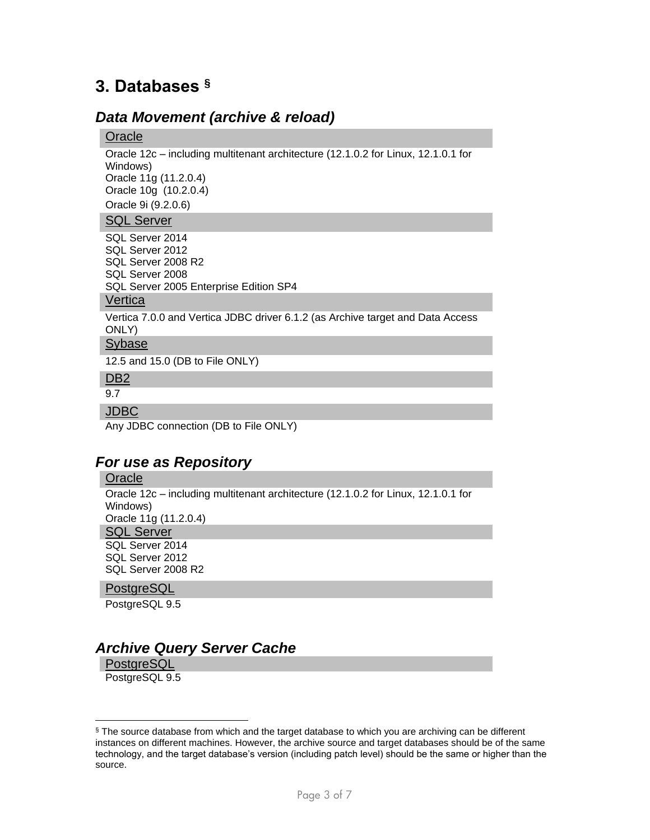# <span id="page-2-0"></span>**3. Databases §**

### *Data Movement (archive & reload)*

#### **Oracle**

Oracle 12c – including multitenant architecture (12.1.0.2 for Linux, 12.1.0.1 for Windows) Oracle 11g (11.2.0.4) Oracle 10g (10.2.0.4) Oracle 9i (9.2.0.6)

#### SQL Server

SQL Server 2014 SQL Server 2012 SQL Server 2008 R2 SQL Server 2008 SQL Server 2005 Enterprise Edition SP4

### **Vertica**

Vertica 7.0.0 and Vertica JDBC driver 6.1.2 (as Archive target and Data Access ONLY)

### Sybase

12.5 and 15.0 (DB to File ONLY)

### D<sub>B2</sub>

9.7

#### JDBC

Any JDBC connection (DB to File ONLY)

### *For use as Repository*

#### **Oracle**

Oracle 12c – including multitenant architecture (12.1.0.2 for Linux, 12.1.0.1 for Windows) Oracle 11g (11.2.0.4) **SQL Server** 

SQL Server 2014 SQL Server 2012 SQL Server 2008 R2

#### **PostgreSQL**

PostgreSQL 9.5

## *Archive Query Server Cache*

**PostgreSQL** 

 $\overline{a}$ 

PostgreSQL 9.5

<sup>§</sup> The source database from which and the target database to which you are archiving can be different instances on different machines. However, the archive source and target databases should be of the same technology, and the target database's version (including patch level) should be the same or higher than the source.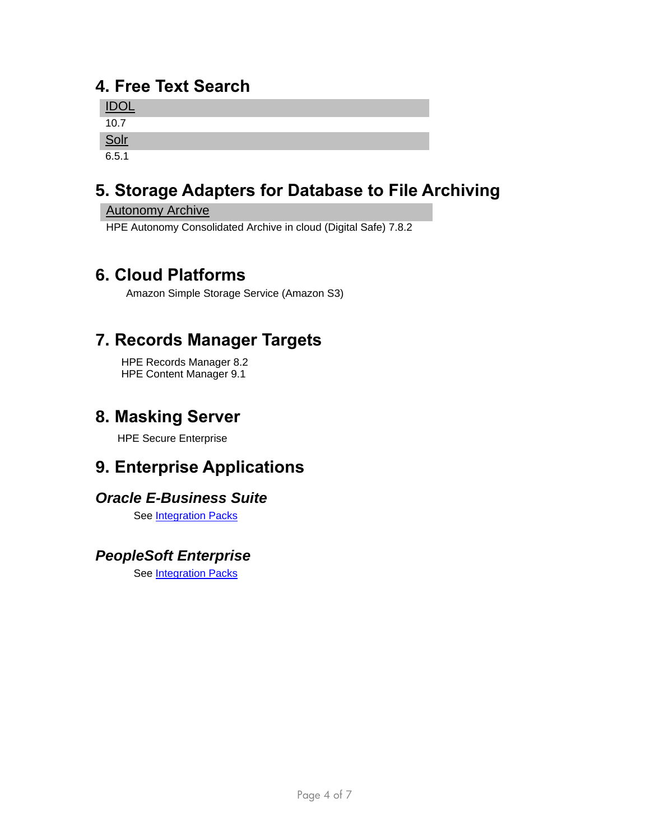# <span id="page-3-0"></span>**4. Free Text Search**

| $\overline{1}$<br><u>IDOL</u> |  |  |
|-------------------------------|--|--|
| 10.7                          |  |  |
| <u>Solr</u>                   |  |  |
| 6.5.1                         |  |  |

# <span id="page-3-1"></span>**5. Storage Adapters for Database to File Archiving**

### Autonomy Archive

HPE Autonomy Consolidated Archive in cloud (Digital Safe) 7.8.2

# <span id="page-3-2"></span>**6. Cloud Platforms**

Amazon Simple Storage Service (Amazon S3)

# <span id="page-3-3"></span>**7. Records Manager Targets**

HPE Records Manager 8.2 HPE Content Manager 9.1

# **8. Masking Server**

HPE Secure Enterprise

# <span id="page-3-4"></span>**9. Enterprise Applications**

## *Oracle E-Business Suite*

See [Integration Packs](#page-4-0)

## *PeopleSoft Enterprise*

See [Integration Packs](#page-5-0)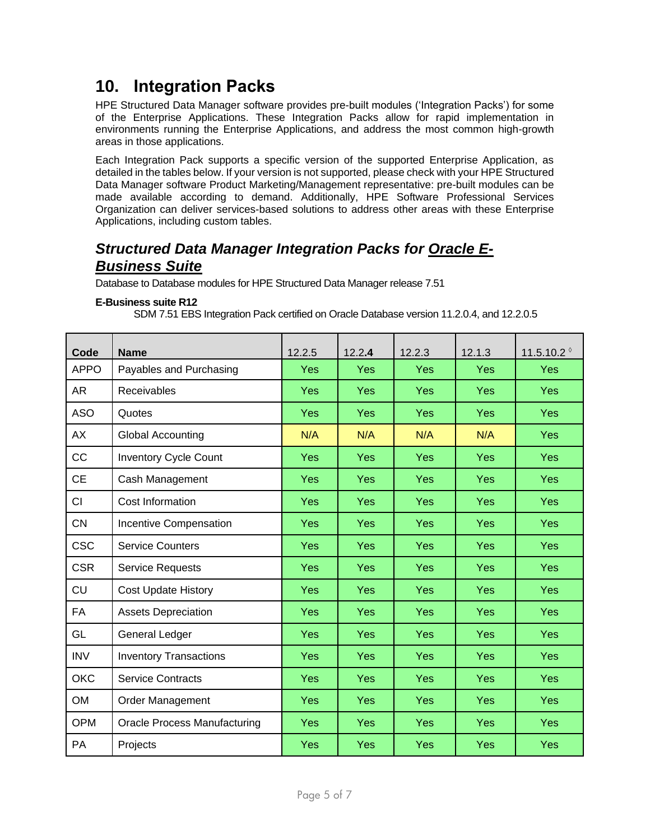# **10. Integration Packs**

HPE Structured Data Manager software provides pre-built modules ('Integration Packs') for some of the Enterprise Applications. These Integration Packs allow for rapid implementation in environments running the Enterprise Applications, and address the most common high-growth areas in those applications.

Each Integration Pack supports a specific version of the supported Enterprise Application, as detailed in the tables below. If your version is not supported, please check with your HPE Structured Data Manager software Product Marketing/Management representative: pre-built modules can be made available according to demand. Additionally, HPE Software Professional Services Organization can deliver services-based solutions to address other areas with these Enterprise Applications, including custom tables.

## <span id="page-4-0"></span>*Structured Data Manager Integration Packs for Oracle E-Business Suite*

Database to Database modules for HPE Structured Data Manager release 7.51

#### **E-Business suite R12**

SDM 7.51 EBS Integration Pack certified on Oracle Database version 11.2.0.4, and 12.2.0.5

| Code        | <b>Name</b>                         | 12.2.5     | 12.2.4     | 12.2.3     | 12.1.3     | 11.5.10.2 $^{\circ}$ |
|-------------|-------------------------------------|------------|------------|------------|------------|----------------------|
| <b>APPO</b> | Payables and Purchasing             | Yes        | Yes        | Yes        | Yes        | <b>Yes</b>           |
| AR          | Receivables                         | Yes        | Yes        | Yes        | <b>Yes</b> | <b>Yes</b>           |
| <b>ASO</b>  | Quotes                              | <b>Yes</b> | Yes        | Yes        | <b>Yes</b> | <b>Yes</b>           |
| <b>AX</b>   | <b>Global Accounting</b>            | N/A        | N/A        | N/A        | N/A        | <b>Yes</b>           |
| CC          | <b>Inventory Cycle Count</b>        | <b>Yes</b> | <b>Yes</b> | Yes        | <b>Yes</b> | <b>Yes</b>           |
| <b>CE</b>   | Cash Management                     | <b>Yes</b> | Yes        | Yes        | <b>Yes</b> | <b>Yes</b>           |
| <b>CI</b>   | Cost Information                    | <b>Yes</b> | Yes        | Yes        | Yes        | <b>Yes</b>           |
| <b>CN</b>   | Incentive Compensation              | <b>Yes</b> | Yes        | Yes        | Yes        | <b>Yes</b>           |
| <b>CSC</b>  | <b>Service Counters</b>             | Yes        | Yes        | Yes        | Yes        | <b>Yes</b>           |
| <b>CSR</b>  | <b>Service Requests</b>             | Yes        | Yes        | Yes        | Yes        | <b>Yes</b>           |
| <b>CU</b>   | <b>Cost Update History</b>          | Yes        | Yes        | Yes        | Yes        | <b>Yes</b>           |
| <b>FA</b>   | <b>Assets Depreciation</b>          | Yes        | Yes        | Yes        | <b>Yes</b> | <b>Yes</b>           |
| GL          | General Ledger                      | Yes        | Yes        | Yes        | Yes        | <b>Yes</b>           |
| <b>INV</b>  | <b>Inventory Transactions</b>       | Yes        | Yes        | Yes        | Yes        | <b>Yes</b>           |
| <b>OKC</b>  | <b>Service Contracts</b>            | Yes        | Yes        | Yes        | <b>Yes</b> | <b>Yes</b>           |
| <b>OM</b>   | <b>Order Management</b>             | <b>Yes</b> | <b>Yes</b> | <b>Yes</b> | <b>Yes</b> | <b>Yes</b>           |
| <b>OPM</b>  | <b>Oracle Process Manufacturing</b> | <b>Yes</b> | Yes        | <b>Yes</b> | <b>Yes</b> | <b>Yes</b>           |
| PA          | Projects                            | Yes        | Yes        | Yes        | Yes        | Yes                  |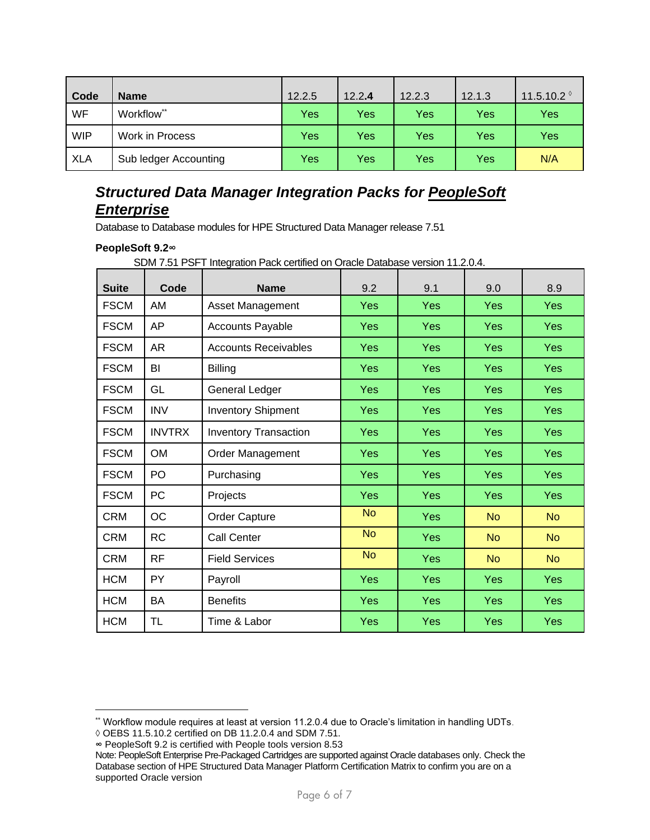| Code       | <b>Name</b>           | 12.2.5     | 12.2.4 | 12.2.3 | 12.1.3 | 11.5.10.2 $^{\circ}$ |
|------------|-----------------------|------------|--------|--------|--------|----------------------|
| <b>WF</b>  | Workflow**            | Yes        | Yes    | Yes    | Yes    | Yes                  |
| <b>WIP</b> | Work in Process       | <b>Yes</b> | Yes    | Yes    | Yes    | Yes                  |
| <b>XLA</b> | Sub ledger Accounting | Yes        | Yes    | Yes    | Yes    | N/A                  |

## <span id="page-5-0"></span>*Structured Data Manager Integration Packs for PeopleSoft Enterprise*

Database to Database modules for HPE Structured Data Manager release 7.51

#### **PeopleSoft 9.2∞**

SDM 7.51 PSFT Integration Pack certified on Oracle Database version 11.2.0.4.

| <b>Suite</b> | Code          | <b>Name</b>                  | 9.2       | 9.1        | 9.0        | 8.9        |
|--------------|---------------|------------------------------|-----------|------------|------------|------------|
| <b>FSCM</b>  | AM            | Asset Management             | Yes       | Yes        | Yes        | Yes        |
| <b>FSCM</b>  | AP            | <b>Accounts Payable</b>      | Yes       | Yes        | <b>Yes</b> | <b>Yes</b> |
| <b>FSCM</b>  | AR            | <b>Accounts Receivables</b>  | Yes       | <b>Yes</b> | <b>Yes</b> | <b>Yes</b> |
| <b>FSCM</b>  | BI            | <b>Billing</b>               | Yes       | Yes        | Yes        | Yes        |
| <b>FSCM</b>  | GL            | General Ledger               | Yes       | Yes        | Yes        | Yes        |
| <b>FSCM</b>  | <b>INV</b>    | <b>Inventory Shipment</b>    | Yes       | <b>Yes</b> | <b>Yes</b> | Yes        |
| <b>FSCM</b>  | <b>INVTRX</b> | <b>Inventory Transaction</b> | Yes       | Yes        | Yes        | <b>Yes</b> |
| <b>FSCM</b>  | <b>OM</b>     | <b>Order Management</b>      | Yes       | Yes        | <b>Yes</b> | Yes        |
| <b>FSCM</b>  | PO            | Purchasing                   | Yes       | <b>Yes</b> | Yes        | <b>Yes</b> |
| <b>FSCM</b>  | PC            | Projects                     | Yes       | Yes        | Yes        | Yes        |
| <b>CRM</b>   | <b>OC</b>     | Order Capture                | <b>No</b> | Yes        | <b>No</b>  | <b>No</b>  |
| <b>CRM</b>   | <b>RC</b>     | Call Center                  | <b>No</b> | Yes        | <b>No</b>  | <b>No</b>  |
| <b>CRM</b>   | <b>RF</b>     | <b>Field Services</b>        | <b>No</b> | Yes        | <b>No</b>  | <b>No</b>  |
| <b>HCM</b>   | <b>PY</b>     | Payroll                      | Yes       | Yes        | <b>Yes</b> | Yes        |
| <b>HCM</b>   | <b>BA</b>     | <b>Benefits</b>              | Yes       | Yes        | Yes        | <b>Yes</b> |
| <b>HCM</b>   | <b>TL</b>     | Time & Labor                 | Yes       | Yes        | Yes        | Yes        |

-

<sup>\*\*</sup> Workflow module requires at least at version 11.2.0.4 due to Oracle's limitation in handling UDTs.

**<sup>◊</sup>** OEBS 11.5.10.2 certified on DB 11.2.0.4 and SDM 7.51.

**<sup>∞</sup>** PeopleSoft 9.2 is certified with People tools version 8.53

Note: PeopleSoft Enterprise Pre-Packaged Cartridges are supported against Oracle databases only. Check the Database section of HPE Structured Data Manager Platform Certification Matrix to confirm you are on a supported Oracle version